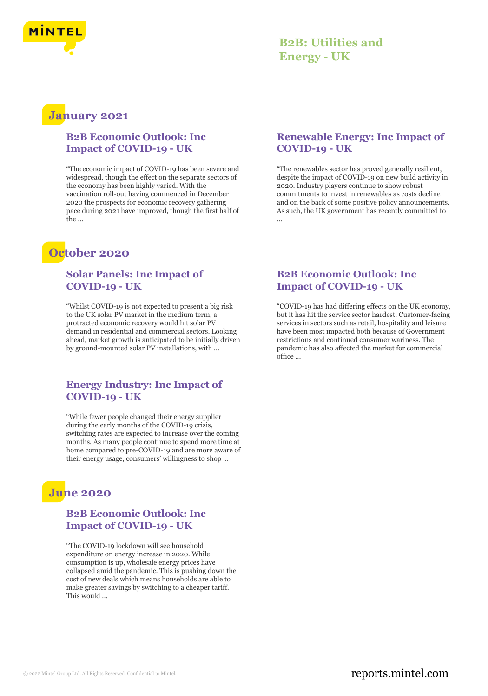

## **B2B: Utilities and Energy - UK**

## **January 2021**

#### **B2B Economic Outlook: Inc Impact of COVID-19 - UK**

"The economic impact of COVID-19 has been severe and widespread, though the effect on the separate sectors of the economy has been highly varied. With the vaccination roll-out having commenced in December 2020 the prospects for economic recovery gathering pace during 2021 have improved, though the first half of the ...

# **October 2020**

#### **Solar Panels: Inc Impact of COVID-19 - UK**

"Whilst COVID-19 is not expected to present a big risk to the UK solar PV market in the medium term, a protracted economic recovery would hit solar PV demand in residential and commercial sectors. Looking ahead, market growth is anticipated to be initially driven by ground-mounted solar PV installations, with ...

#### **Energy Industry: Inc Impact of COVID-19 - UK**

"While fewer people changed their energy supplier during the early months of the COVID-19 crisis, switching rates are expected to increase over the coming months. As many people continue to spend more time at home compared to pre-COVID-19 and are more aware of their energy usage, consumers' willingness to shop ...

# **June 2020**

#### **B2B Economic Outlook: Inc Impact of COVID-19 - UK**

"The COVID-19 lockdown will see household expenditure on energy increase in 2020. While consumption is up, wholesale energy prices have collapsed amid the pandemic. This is pushing down the cost of new deals which means households are able to make greater savings by switching to a cheaper tariff. This would ...

### **Renewable Energy: Inc Impact of COVID-19 - UK**

"The renewables sector has proved generally resilient, despite the impact of COVID-19 on new build activity in 2020. Industry players continue to show robust commitments to invest in renewables as costs decline and on the back of some positive policy announcements. As such, the UK government has recently committed to ...

### **B2B Economic Outlook: Inc Impact of COVID-19 - UK**

"COVID-19 has had differing effects on the UK economy, but it has hit the service sector hardest. Customer-facing services in sectors such as retail, hospitality and leisure have been most impacted both because of Government restrictions and continued consumer wariness. The pandemic has also affected the market for commercial office ...